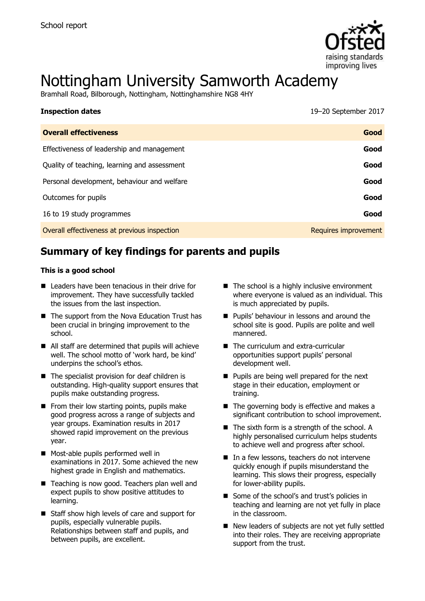

# Nottingham University Samworth Academy

Bramhall Road, Bilborough, Nottingham, Nottinghamshire NG8 4HY

| <b>Inspection dates</b>                      | 19-20 September 2017 |
|----------------------------------------------|----------------------|
| <b>Overall effectiveness</b>                 | Good                 |
| Effectiveness of leadership and management   | Good                 |
| Quality of teaching, learning and assessment | Good                 |
| Personal development, behaviour and welfare  | Good                 |
| Outcomes for pupils                          | Good                 |
| 16 to 19 study programmes                    | Good                 |
| Overall effectiveness at previous inspection | Requires improvement |

# **Summary of key findings for parents and pupils**

#### **This is a good school**

- Leaders have been tenacious in their drive for improvement. They have successfully tackled the issues from the last inspection.
- The support from the Nova Education Trust has been crucial in bringing improvement to the school.
- All staff are determined that pupils will achieve well. The school motto of 'work hard, be kind' underpins the school's ethos.
- $\blacksquare$  The specialist provision for deaf children is outstanding. High-quality support ensures that pupils make outstanding progress.
- $\blacksquare$  From their low starting points, pupils make good progress across a range of subjects and year groups. Examination results in 2017 showed rapid improvement on the previous year.
- **Most-able pupils performed well in** examinations in 2017. Some achieved the new highest grade in English and mathematics.
- Teaching is now good. Teachers plan well and expect pupils to show positive attitudes to learning.
- Staff show high levels of care and support for pupils, especially vulnerable pupils. Relationships between staff and pupils, and between pupils, are excellent.
- $\blacksquare$  The school is a highly inclusive environment where everyone is valued as an individual. This is much appreciated by pupils.
- **Pupils' behaviour in lessons and around the** school site is good. Pupils are polite and well mannered.
- The curriculum and extra-curricular opportunities support pupils' personal development well.
- **Pupils are being well prepared for the next** stage in their education, employment or training.
- $\blacksquare$  The governing body is effective and makes a significant contribution to school improvement.
- $\blacksquare$  The sixth form is a strength of the school. A highly personalised curriculum helps students to achieve well and progress after school.
- In a few lessons, teachers do not intervene quickly enough if pupils misunderstand the learning. This slows their progress, especially for lower-ability pupils.
- Some of the school's and trust's policies in teaching and learning are not yet fully in place in the classroom.
- New leaders of subjects are not yet fully settled into their roles. They are receiving appropriate support from the trust.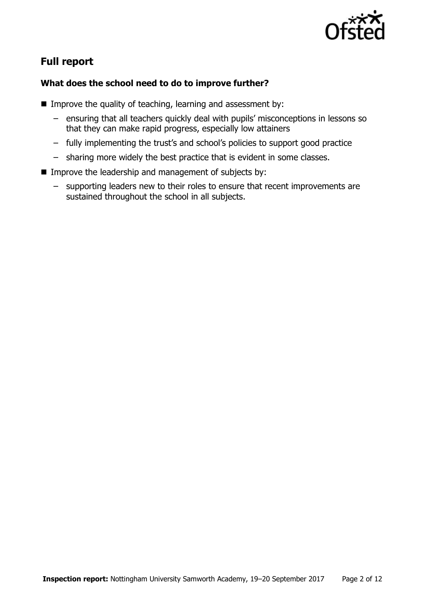

# **Full report**

### **What does the school need to do to improve further?**

- Improve the quality of teaching, learning and assessment by:
	- ensuring that all teachers quickly deal with pupils' misconceptions in lessons so that they can make rapid progress, especially low attainers
	- fully implementing the trust's and school's policies to support good practice
	- sharing more widely the best practice that is evident in some classes.
- **IMPROVE the leadership and management of subjects by:** 
	- supporting leaders new to their roles to ensure that recent improvements are sustained throughout the school in all subjects.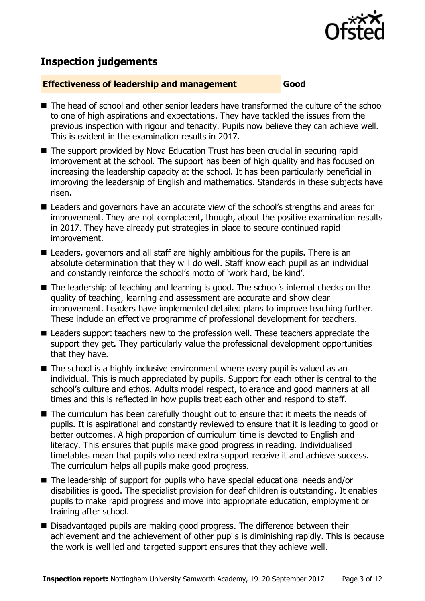

# **Inspection judgements**

#### **Effectiveness of leadership and management Good**

- The head of school and other senior leaders have transformed the culture of the school to one of high aspirations and expectations. They have tackled the issues from the previous inspection with rigour and tenacity. Pupils now believe they can achieve well. This is evident in the examination results in 2017.
- The support provided by Nova Education Trust has been crucial in securing rapid improvement at the school. The support has been of high quality and has focused on increasing the leadership capacity at the school. It has been particularly beneficial in improving the leadership of English and mathematics. Standards in these subjects have risen.
- Leaders and governors have an accurate view of the school's strengths and areas for improvement. They are not complacent, though, about the positive examination results in 2017. They have already put strategies in place to secure continued rapid improvement.
- Leaders, governors and all staff are highly ambitious for the pupils. There is an absolute determination that they will do well. Staff know each pupil as an individual and constantly reinforce the school's motto of 'work hard, be kind'.
- The leadership of teaching and learning is good. The school's internal checks on the quality of teaching, learning and assessment are accurate and show clear improvement. Leaders have implemented detailed plans to improve teaching further. These include an effective programme of professional development for teachers.
- Leaders support teachers new to the profession well. These teachers appreciate the support they get. They particularly value the professional development opportunities that they have.
- $\blacksquare$  The school is a highly inclusive environment where every pupil is valued as an individual. This is much appreciated by pupils. Support for each other is central to the school's culture and ethos. Adults model respect, tolerance and good manners at all times and this is reflected in how pupils treat each other and respond to staff.
- The curriculum has been carefully thought out to ensure that it meets the needs of pupils. It is aspirational and constantly reviewed to ensure that it is leading to good or better outcomes. A high proportion of curriculum time is devoted to English and literacy. This ensures that pupils make good progress in reading. Individualised timetables mean that pupils who need extra support receive it and achieve success. The curriculum helps all pupils make good progress.
- The leadership of support for pupils who have special educational needs and/or disabilities is good. The specialist provision for deaf children is outstanding. It enables pupils to make rapid progress and move into appropriate education, employment or training after school.
- Disadvantaged pupils are making good progress. The difference between their achievement and the achievement of other pupils is diminishing rapidly. This is because the work is well led and targeted support ensures that they achieve well.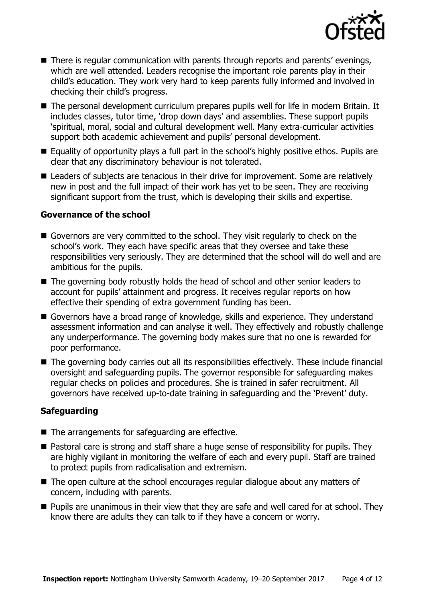

- There is regular communication with parents through reports and parents' evenings, which are well attended. Leaders recognise the important role parents play in their child's education. They work very hard to keep parents fully informed and involved in checking their child's progress.
- The personal development curriculum prepares pupils well for life in modern Britain. It includes classes, tutor time, 'drop down days' and assemblies. These support pupils 'spiritual, moral, social and cultural development well. Many extra-curricular activities support both academic achievement and pupils' personal development.
- Equality of opportunity plays a full part in the school's highly positive ethos. Pupils are clear that any discriminatory behaviour is not tolerated.
- Leaders of subjects are tenacious in their drive for improvement. Some are relatively new in post and the full impact of their work has yet to be seen. They are receiving significant support from the trust, which is developing their skills and expertise.

#### **Governance of the school**

- Governors are very committed to the school. They visit regularly to check on the school's work. They each have specific areas that they oversee and take these responsibilities very seriously. They are determined that the school will do well and are ambitious for the pupils.
- The governing body robustly holds the head of school and other senior leaders to account for pupils' attainment and progress. It receives regular reports on how effective their spending of extra government funding has been.
- Governors have a broad range of knowledge, skills and experience. They understand assessment information and can analyse it well. They effectively and robustly challenge any underperformance. The governing body makes sure that no one is rewarded for poor performance.
- The governing body carries out all its responsibilities effectively. These include financial oversight and safeguarding pupils. The governor responsible for safeguarding makes regular checks on policies and procedures. She is trained in safer recruitment. All governors have received up-to-date training in safeguarding and the 'Prevent' duty.

### **Safeguarding**

- The arrangements for safeguarding are effective.
- Pastoral care is strong and staff share a huge sense of responsibility for pupils. They are highly vigilant in monitoring the welfare of each and every pupil. Staff are trained to protect pupils from radicalisation and extremism.
- The open culture at the school encourages regular dialogue about any matters of concern, including with parents.
- **Pupils are unanimous in their view that they are safe and well cared for at school. They** know there are adults they can talk to if they have a concern or worry.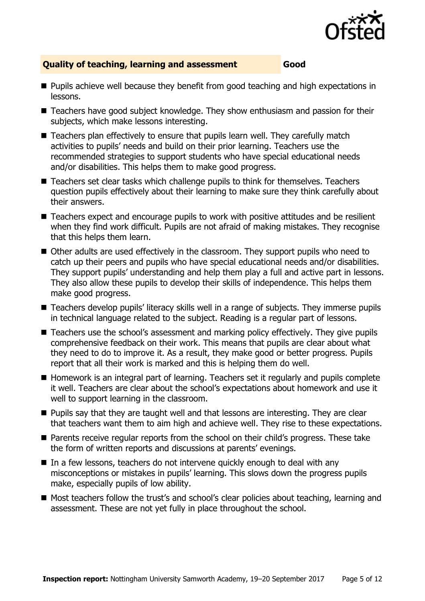

### **Quality of teaching, learning and assessment Good**

- **Pupils achieve well because they benefit from good teaching and high expectations in** lessons.
- Teachers have good subject knowledge. They show enthusiasm and passion for their subjects, which make lessons interesting.
- Teachers plan effectively to ensure that pupils learn well. They carefully match activities to pupils' needs and build on their prior learning. Teachers use the recommended strategies to support students who have special educational needs and/or disabilities. This helps them to make good progress.
- Teachers set clear tasks which challenge pupils to think for themselves. Teachers question pupils effectively about their learning to make sure they think carefully about their answers.
- Teachers expect and encourage pupils to work with positive attitudes and be resilient when they find work difficult. Pupils are not afraid of making mistakes. They recognise that this helps them learn.
- Other adults are used effectively in the classroom. They support pupils who need to catch up their peers and pupils who have special educational needs and/or disabilities. They support pupils' understanding and help them play a full and active part in lessons. They also allow these pupils to develop their skills of independence. This helps them make good progress.
- Teachers develop pupils' literacy skills well in a range of subjects. They immerse pupils in technical language related to the subject. Reading is a regular part of lessons.
- Teachers use the school's assessment and marking policy effectively. They give pupils comprehensive feedback on their work. This means that pupils are clear about what they need to do to improve it. As a result, they make good or better progress. Pupils report that all their work is marked and this is helping them do well.
- Homework is an integral part of learning. Teachers set it regularly and pupils complete it well. Teachers are clear about the school's expectations about homework and use it well to support learning in the classroom.
- **Pupils say that they are taught well and that lessons are interesting. They are clear** that teachers want them to aim high and achieve well. They rise to these expectations.
- Parents receive regular reports from the school on their child's progress. These take the form of written reports and discussions at parents' evenings.
- In a few lessons, teachers do not intervene quickly enough to deal with any misconceptions or mistakes in pupils' learning. This slows down the progress pupils make, especially pupils of low ability.
- Most teachers follow the trust's and school's clear policies about teaching, learning and assessment. These are not yet fully in place throughout the school.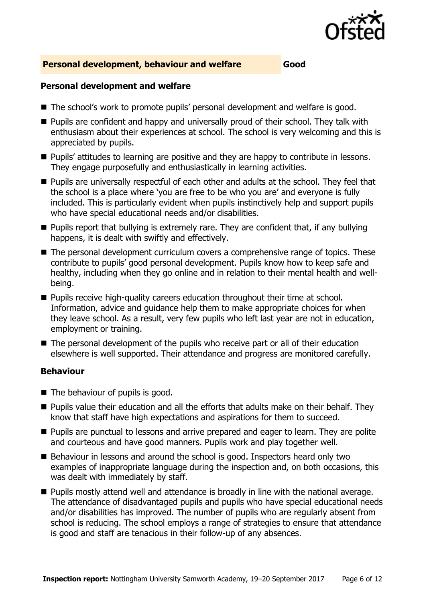

#### **Personal development, behaviour and welfare Good**

#### **Personal development and welfare**

- The school's work to promote pupils' personal development and welfare is good.
- **Pupils are confident and happy and universally proud of their school. They talk with** enthusiasm about their experiences at school. The school is very welcoming and this is appreciated by pupils.
- **Pupils' attitudes to learning are positive and they are happy to contribute in lessons.** They engage purposefully and enthusiastically in learning activities.
- **Pupils are universally respectful of each other and adults at the school. They feel that** the school is a place where 'you are free to be who you are' and everyone is fully included. This is particularly evident when pupils instinctively help and support pupils who have special educational needs and/or disabilities.
- **Pupils report that bullying is extremely rare. They are confident that, if any bullying** happens, it is dealt with swiftly and effectively.
- The personal development curriculum covers a comprehensive range of topics. These contribute to pupils' good personal development. Pupils know how to keep safe and healthy, including when they go online and in relation to their mental health and wellbeing.
- **Pupils receive high-quality careers education throughout their time at school.** Information, advice and guidance help them to make appropriate choices for when they leave school. As a result, very few pupils who left last year are not in education, employment or training.
- The personal development of the pupils who receive part or all of their education elsewhere is well supported. Their attendance and progress are monitored carefully.

### **Behaviour**

- The behaviour of pupils is good.
- **Pupils value their education and all the efforts that adults make on their behalf. They** know that staff have high expectations and aspirations for them to succeed.
- **Pupils are punctual to lessons and arrive prepared and eager to learn. They are polite** and courteous and have good manners. Pupils work and play together well.
- Behaviour in lessons and around the school is good. Inspectors heard only two examples of inappropriate language during the inspection and, on both occasions, this was dealt with immediately by staff.
- **Pupils mostly attend well and attendance is broadly in line with the national average.** The attendance of disadvantaged pupils and pupils who have special educational needs and/or disabilities has improved. The number of pupils who are regularly absent from school is reducing. The school employs a range of strategies to ensure that attendance is good and staff are tenacious in their follow-up of any absences.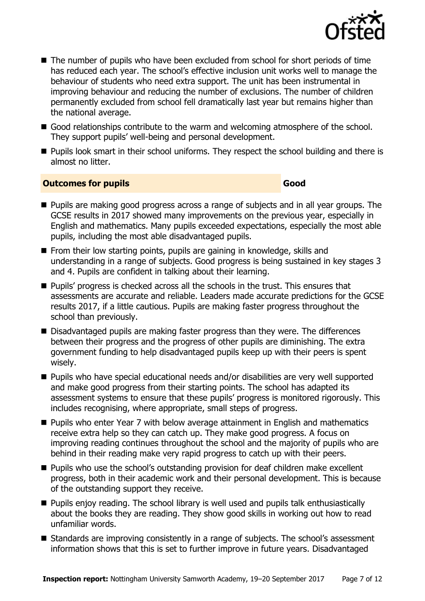

- The number of pupils who have been excluded from school for short periods of time has reduced each year. The school's effective inclusion unit works well to manage the behaviour of students who need extra support. The unit has been instrumental in improving behaviour and reducing the number of exclusions. The number of children permanently excluded from school fell dramatically last year but remains higher than the national average.
- Good relationships contribute to the warm and welcoming atmosphere of the school. They support pupils' well-being and personal development.
- **Pupils look smart in their school uniforms. They respect the school building and there is** almost no litter.

#### **Outcomes for pupils Good Good**

- **Pupils are making good progress across a range of subjects and in all year groups. The** GCSE results in 2017 showed many improvements on the previous year, especially in English and mathematics. Many pupils exceeded expectations, especially the most able pupils, including the most able disadvantaged pupils.
- $\blacksquare$  From their low starting points, pupils are gaining in knowledge, skills and understanding in a range of subjects. Good progress is being sustained in key stages 3 and 4. Pupils are confident in talking about their learning.
- **Pupils' progress is checked across all the schools in the trust. This ensures that** assessments are accurate and reliable. Leaders made accurate predictions for the GCSE results 2017, if a little cautious. Pupils are making faster progress throughout the school than previously.
- Disadvantaged pupils are making faster progress than they were. The differences between their progress and the progress of other pupils are diminishing. The extra government funding to help disadvantaged pupils keep up with their peers is spent wisely.
- Pupils who have special educational needs and/or disabilities are very well supported and make good progress from their starting points. The school has adapted its assessment systems to ensure that these pupils' progress is monitored rigorously. This includes recognising, where appropriate, small steps of progress.
- **Pupils who enter Year 7 with below average attainment in English and mathematics** receive extra help so they can catch up. They make good progress. A focus on improving reading continues throughout the school and the majority of pupils who are behind in their reading make very rapid progress to catch up with their peers.
- **Pupils who use the school's outstanding provision for deaf children make excellent** progress, both in their academic work and their personal development. This is because of the outstanding support they receive.
- **Pupils enjoy reading. The school library is well used and pupils talk enthusiastically** about the books they are reading. They show good skills in working out how to read unfamiliar words.
- Standards are improving consistently in a range of subjects. The school's assessment information shows that this is set to further improve in future years. Disadvantaged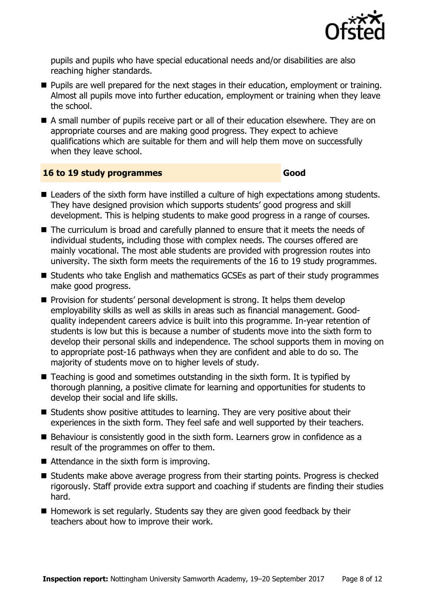

pupils and pupils who have special educational needs and/or disabilities are also reaching higher standards.

- **Pupils are well prepared for the next stages in their education, employment or training.** Almost all pupils move into further education, employment or training when they leave the school.
- A small number of pupils receive part or all of their education elsewhere. They are on appropriate courses and are making good progress. They expect to achieve qualifications which are suitable for them and will help them move on successfully when they leave school.

#### **16 to 19 study programmes Good**

- Leaders of the sixth form have instilled a culture of high expectations among students. They have designed provision which supports students' good progress and skill development. This is helping students to make good progress in a range of courses.
- The curriculum is broad and carefully planned to ensure that it meets the needs of individual students, including those with complex needs. The courses offered are mainly vocational. The most able students are provided with progression routes into university. The sixth form meets the requirements of the 16 to 19 study programmes.
- Students who take English and mathematics GCSEs as part of their study programmes make good progress.
- **Provision for students' personal development is strong. It helps them develop** employability skills as well as skills in areas such as financial management. Goodquality independent careers advice is built into this programme. In-year retention of students is low but this is because a number of students move into the sixth form to develop their personal skills and independence. The school supports them in moving on to appropriate post-16 pathways when they are confident and able to do so. The majority of students move on to higher levels of study.
- Teaching is good and sometimes outstanding in the sixth form. It is typified by thorough planning, a positive climate for learning and opportunities for students to develop their social and life skills.
- $\blacksquare$  Students show positive attitudes to learning. They are very positive about their experiences in the sixth form. They feel safe and well supported by their teachers.
- Behaviour is consistently good in the sixth form. Learners grow in confidence as a result of the programmes on offer to them.
- Attendance in the sixth form is improving.
- Students make above average progress from their starting points. Progress is checked rigorously. Staff provide extra support and coaching if students are finding their studies hard.
- $\blacksquare$  Homework is set regularly. Students say they are given good feedback by their teachers about how to improve their work.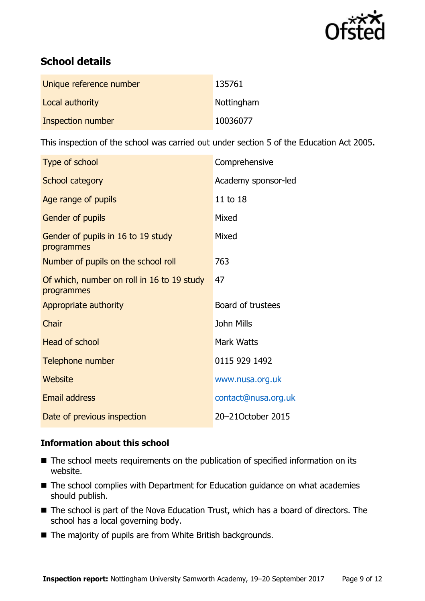

# **School details**

| Unique reference number | 135761     |
|-------------------------|------------|
| Local authority         | Nottingham |
| Inspection number       | 10036077   |

This inspection of the school was carried out under section 5 of the Education Act 2005.

| Type of school                                           | Comprehensive       |
|----------------------------------------------------------|---------------------|
| School category                                          | Academy sponsor-led |
| Age range of pupils                                      | 11 to 18            |
| <b>Gender of pupils</b>                                  | Mixed               |
| Gender of pupils in 16 to 19 study<br>programmes         | Mixed               |
| Number of pupils on the school roll                      | 763                 |
| Of which, number on roll in 16 to 19 study<br>programmes | 47                  |
| Appropriate authority                                    | Board of trustees   |
| Chair                                                    | <b>John Mills</b>   |
| <b>Head of school</b>                                    | Mark Watts          |
| Telephone number                                         | 0115 929 1492       |
| Website                                                  | www.nusa.org.uk     |
| <b>Email address</b>                                     | contact@nusa.org.uk |
| Date of previous inspection                              | 20-21October 2015   |

### **Information about this school**

- The school meets requirements on the publication of specified information on its website.
- The school complies with Department for Education guidance on what academies should publish.
- The school is part of the Nova Education Trust, which has a board of directors. The school has a local governing body.
- The majority of pupils are from White British backgrounds.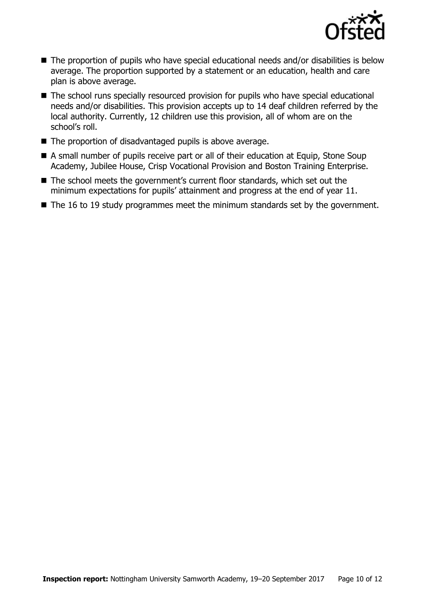

- The proportion of pupils who have special educational needs and/or disabilities is below average. The proportion supported by a statement or an education, health and care plan is above average.
- The school runs specially resourced provision for pupils who have special educational needs and/or disabilities. This provision accepts up to 14 deaf children referred by the local authority. Currently, 12 children use this provision, all of whom are on the school's roll.
- $\blacksquare$  The proportion of disadvantaged pupils is above average.
- A small number of pupils receive part or all of their education at Equip, Stone Soup Academy, Jubilee House, Crisp Vocational Provision and Boston Training Enterprise.
- The school meets the government's current floor standards, which set out the minimum expectations for pupils' attainment and progress at the end of year 11.
- $\blacksquare$  The 16 to 19 study programmes meet the minimum standards set by the government.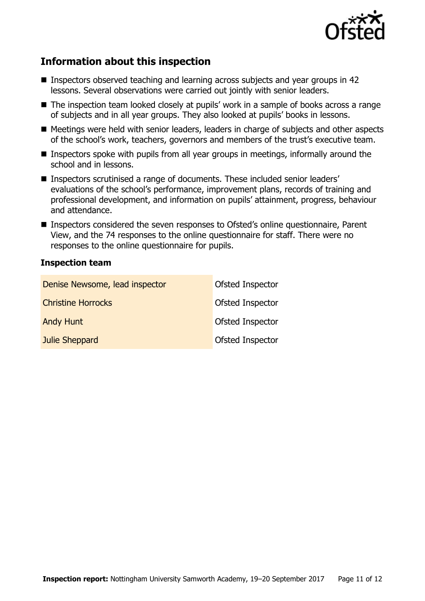

# **Information about this inspection**

- Inspectors observed teaching and learning across subjects and year groups in 42 lessons. Several observations were carried out jointly with senior leaders.
- The inspection team looked closely at pupils' work in a sample of books across a range of subjects and in all year groups. They also looked at pupils' books in lessons.
- Meetings were held with senior leaders, leaders in charge of subjects and other aspects of the school's work, teachers, governors and members of the trust's executive team.
- **Inspectors spoke with pupils from all year groups in meetings, informally around the** school and in lessons.
- Inspectors scrutinised a range of documents. These included senior leaders' evaluations of the school's performance, improvement plans, records of training and professional development, and information on pupils' attainment, progress, behaviour and attendance.
- Inspectors considered the seven responses to Ofsted's online questionnaire, Parent View, and the 74 responses to the online questionnaire for staff. There were no responses to the online questionnaire for pupils.

#### **Inspection team**

| Denise Newsome, lead inspector | Ofsted Inspector        |
|--------------------------------|-------------------------|
| <b>Christine Horrocks</b>      | <b>Ofsted Inspector</b> |
| <b>Andy Hunt</b>               | <b>Ofsted Inspector</b> |
| Julie Sheppard                 | <b>Ofsted Inspector</b> |